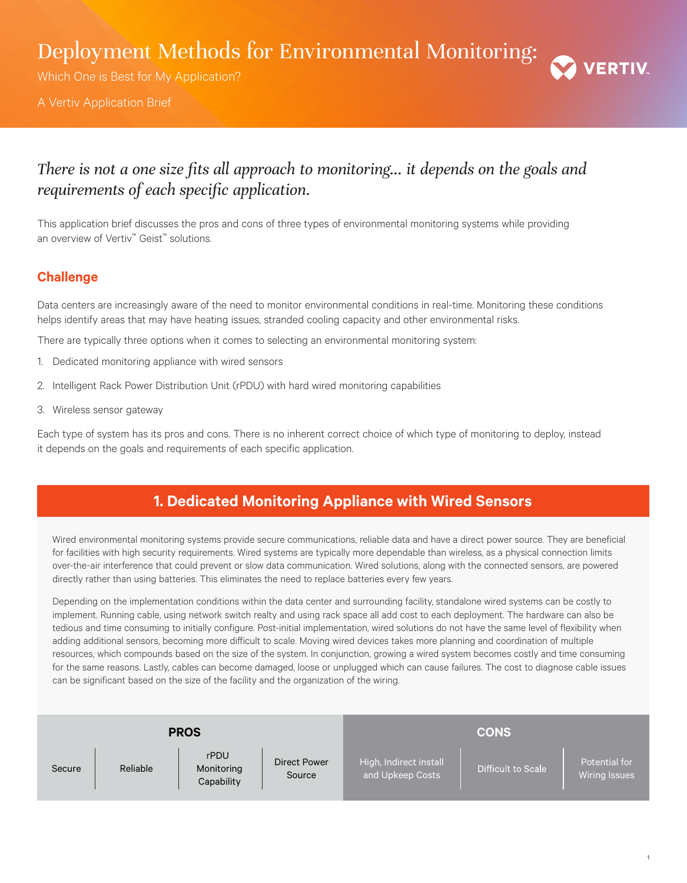Deployment Methods for Environmental Monitoring:

Which One is Best for My Application?

A Vertiv Application Brief



# *There is not a one size fits all approach to monitoring... it depends on the goals and requirements of each specific application.*

This application brief discusses the pros and cons of three types of environmental monitoring systems while providing an overview of Vertiv™ Geist™ solutions.

### **Challenge**

Data centers are increasingly aware of the need to monitor environmental conditions in real-time. Monitoring these conditions helps identify areas that may have heating issues, stranded cooling capacity and other environmental risks.

There are typically three options when it comes to selecting an environmental monitoring system:

- 1. Dedicated monitoring appliance with wired sensors
- 2. Intelligent Rack Power Distribution Unit (rPDU) with hard wired monitoring capabilities
- 3. Wireless sensor gateway

Each type of system has its pros and cons. There is no inherent correct choice of which type of monitoring to deploy, instead it depends on the goals and requirements of each specific application.

## **1. Dedicated Monitoring Appliance with Wired Sensors**

Wired environmental monitoring systems provide secure communications, reliable data and have a direct power source. They are beneficial for facilities with high security requirements. Wired systems are typically more dependable than wireless, as a physical connection limits over-the-air interference that could prevent or slow data communication. Wired solutions, along with the connected sensors, are powered directly rather than using batteries. This eliminates the need to replace batteries every few years.

Depending on the implementation conditions within the data center and surrounding facility, standalone wired systems can be costly to implement. Running cable, using network switch realty and using rack space all add cost to each deployment. The hardware can also be tedious and time consuming to initially configure. Post-initial implementation, wired solutions do not have the same level of flexibility when adding additional sensors, becoming more difficult to scale. Moving wired devices takes more planning and coordination of multiple resources, which compounds based on the size of the system. In conjunction, growing a wired system becomes costly and time consuming for the same reasons. Lastly, cables can become damaged, loose or unplugged which can cause failures. The cost to diagnose cable issues can be significant based on the size of the facility and the organization of the wiring.

| <b>PROS</b> |          |                                  |                        | <b>CONS</b>                                |                    |                                       |
|-------------|----------|----------------------------------|------------------------|--------------------------------------------|--------------------|---------------------------------------|
| Secure      | Reliable | rPDU<br>Monitoring<br>Capability | Direct Power<br>Source | High, Indirect install<br>and Upkeep Costs | Difficult to Scale | Potential for<br><b>Wiring Issues</b> |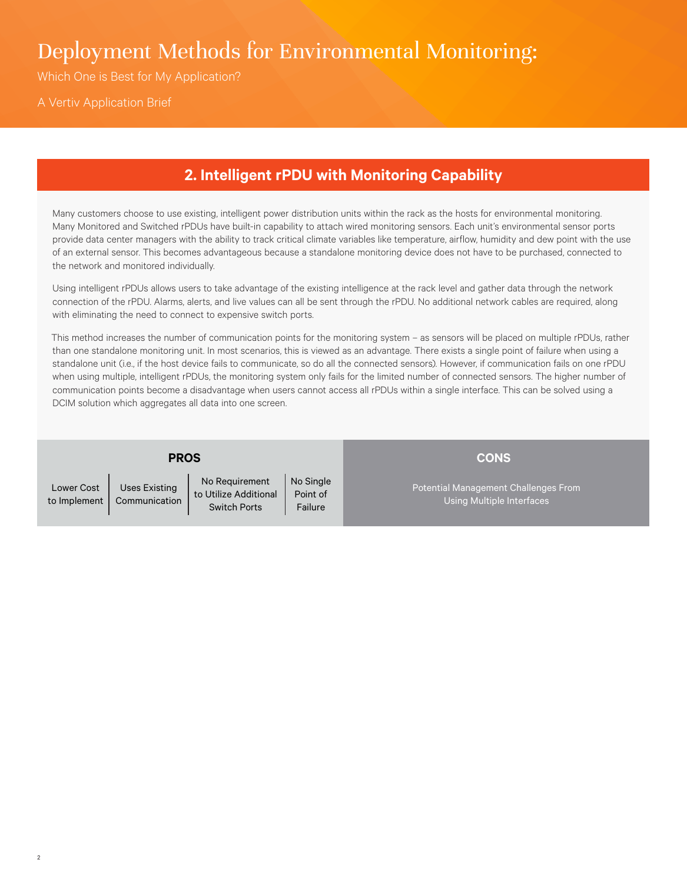# Deployment Methods for Environmental Monitoring:

Which One is Best for My Application?

A Vertiv Application Brief

## **2. Intelligent rPDU with Monitoring Capability**

Many customers choose to use existing, intelligent power distribution units within the rack as the hosts for environmental monitoring. Many Monitored and Switched rPDUs have built-in capability to attach wired monitoring sensors. Each unit's environmental sensor ports provide data center managers with the ability to track critical climate variables like temperature, airflow, humidity and dew point with the use of an external sensor. This becomes advantageous because a standalone monitoring device does not have to be purchased, connected to the network and monitored individually.

Using intelligent rPDUs allows users to take advantage of the existing intelligence at the rack level and gather data through the network connection of the rPDU. Alarms, alerts, and live values can all be sent through the rPDU. No additional network cables are required, along with eliminating the need to connect to expensive switch ports.

This method increases the number of communication points for the monitoring system – as sensors will be placed on multiple rPDUs, rather than one standalone monitoring unit. In most scenarios, this is viewed as an advantage. There exists a single point of failure when using a standalone unit (i.e., if the host device fails to communicate, so do all the connected sensors). However, if communication fails on one rPDU when using multiple, intelligent rPDUs, the monitoring system only fails for the limited number of connected sensors. The higher number of communication points become a disadvantage when users cannot access all rPDUs within a single interface. This can be solved using a DCIM solution which aggregates all data into one screen.

| Lower Cost         | Us6 |
|--------------------|-----|
| to Implement   Com |     |

es Existing **nmunication** No Requirement to Utilize Additional Switch Ports

**PROS**

No Single Point of Failure

Potential Management Challenges From Using Multiple Interfaces

**CONS**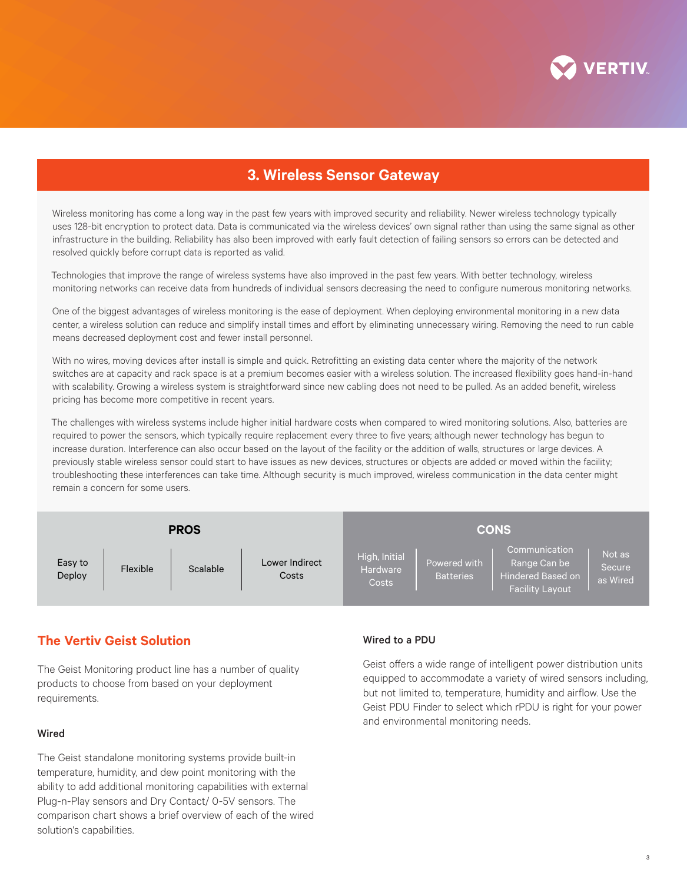

## **3. Wireless Sensor Gateway**

Wireless monitoring has come a long way in the past few years with improved security and reliability. Newer wireless technology typically uses 128-bit encryption to protect data. Data is communicated via the wireless devices' own signal rather than using the same signal as other infrastructure in the building. Reliability has also been improved with early fault detection of failing sensors so errors can be detected and resolved quickly before corrupt data is reported as valid.

Technologies that improve the range of wireless systems have also improved in the past few years. With better technology, wireless monitoring networks can receive data from hundreds of individual sensors decreasing the need to configure numerous monitoring networks.

One of the biggest advantages of wireless monitoring is the ease of deployment. When deploying environmental monitoring in a new data center, a wireless solution can reduce and simplify install times and effort by eliminating unnecessary wiring. Removing the need to run cable means decreased deployment cost and fewer install personnel.

With no wires, moving devices after install is simple and quick. Retrofitting an existing data center where the majority of the network switches are at capacity and rack space is at a premium becomes easier with a wireless solution. The increased flexibility goes hand-in-hand with scalability. Growing a wireless system is straightforward since new cabling does not need to be pulled. As an added benefit, wireless pricing has become more competitive in recent years.

The challenges with wireless systems include higher initial hardware costs when compared to wired monitoring solutions. Also, batteries are required to power the sensors, which typically require replacement every three to five years; although newer technology has begun to increase duration. Interference can also occur based on the layout of the facility or the addition of walls, structures or large devices. A previously stable wireless sensor could start to have issues as new devices, structures or objects are added or moved within the facility; troubleshooting these interferences can take time. Although security is much improved, wireless communication in the data center might remain a concern for some users.



### **The Vertiv Geist Solution**

The Geist Monitoring product line has a number of quality products to choose from based on your deployment requirements.

#### Wired

The Geist standalone monitoring systems provide built-in temperature, humidity, and dew point monitoring with the ability to add additional monitoring capabilities with external Plug-n-Play sensors and Dry Contact/ 0-5V sensors. The comparison chart shows a brief overview of each of the wired solution's capabilities.

#### Wired to a PDU

Geist offers a wide range of intelligent power distribution units equipped to accommodate a variety of wired sensors including, but not limited to, temperature, humidity and airflow. Use the Geist PDU Finder to select which rPDU is right for your power and environmental monitoring needs.